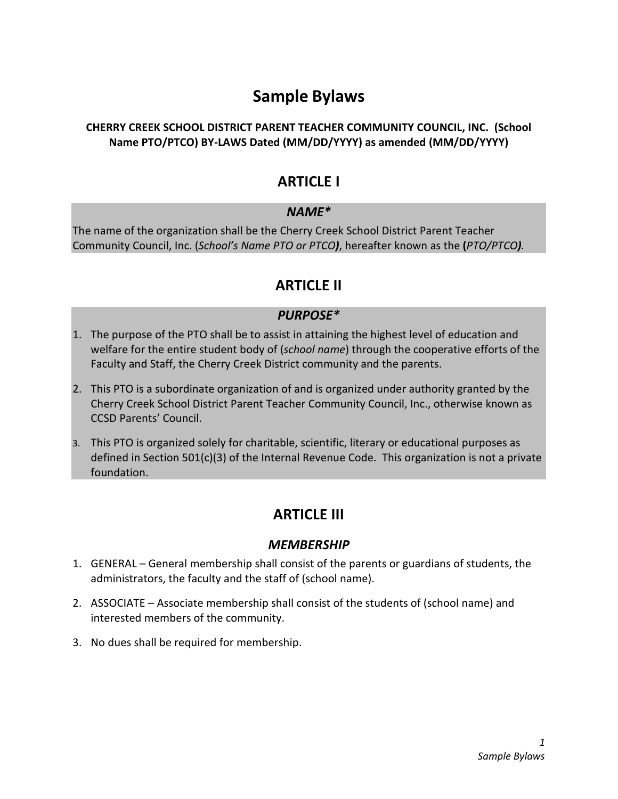# Sample Bylaws

#### CHERRY CREEK SCHOOL DISTRICT PARENT TEACHER COMMUNITY COUNCIL, INC. (School Name PTO/PTCO) BY-LAWS Dated (MM/DD/YYYY) as amended (MM/DD/YYYY)

# ARTICLE I

#### NAME\*

The name of the organization shall be the Cherry Creek School District Parent Teacher Community Council, Inc. (School's Name PTO or PTCO), hereafter known as the (PTO/PTCO).

# ARTICLE II

#### PURPOSE\*

- 1. The purpose of the PTO shall be to assist in attaining the highest level of education and welfare for the entire student body of (school name) through the cooperative efforts of the Faculty and Staff, the Cherry Creek District community and the parents.
- 2. This PTO is a subordinate organization of and is organized under authority granted by the Cherry Creek School District Parent Teacher Community Council, Inc., otherwise known as CCSD Parents' Council.
- 3. This PTO is organized solely for charitable, scientific, literary or educational purposes as defined in Section 501(c)(3) of the Internal Revenue Code. This organization is not a private foundation.

# ARTICLE III

#### **MEMBERSHIP**

- 1. GENERAL General membership shall consist of the parents or guardians of students, the administrators, the faculty and the staff of (school name).
- 2. ASSOCIATE Associate membership shall consist of the students of (school name) and interested members of the community.
- 3. No dues shall be required for membership.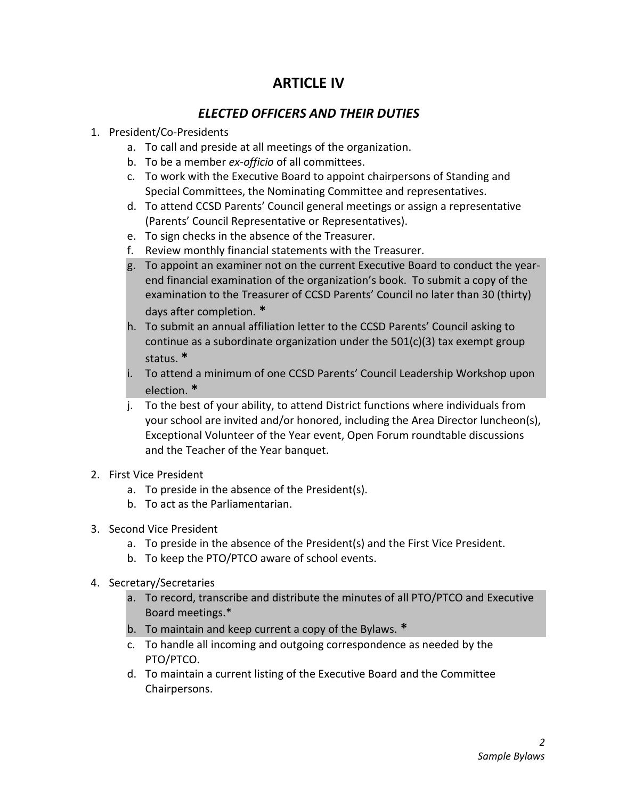### ARTICLE IV

#### ELECTED OFFICERS AND THEIR DUTIES

#### 1. President/Co-Presidents

- a. To call and preside at all meetings of the organization.
- b. To be a member ex-officio of all committees.
- c. To work with the Executive Board to appoint chairpersons of Standing and Special Committees, the Nominating Committee and representatives.
- d. To attend CCSD Parents' Council general meetings or assign a representative (Parents' Council Representative or Representatives).
- e. To sign checks in the absence of the Treasurer.
- f. Review monthly financial statements with the Treasurer.
- g. To appoint an examiner not on the current Executive Board to conduct the yearend financial examination of the organization's book. To submit a copy of the examination to the Treasurer of CCSD Parents' Council no later than 30 (thirty) days after completion. \*
- h. To submit an annual affiliation letter to the CCSD Parents' Council asking to continue as a subordinate organization under the  $501(c)(3)$  tax exempt group status. \*
- i. To attend a minimum of one CCSD Parents' Council Leadership Workshop upon election. \*
- j. To the best of your ability, to attend District functions where individuals from your school are invited and/or honored, including the Area Director luncheon(s), Exceptional Volunteer of the Year event, Open Forum roundtable discussions and the Teacher of the Year banquet.
- 2. First Vice President
	- a. To preside in the absence of the President(s).
	- b. To act as the Parliamentarian.
- 3. Second Vice President
	- a. To preside in the absence of the President(s) and the First Vice President.
	- b. To keep the PTO/PTCO aware of school events.
- 4. Secretary/Secretaries
	- a. To record, transcribe and distribute the minutes of all PTO/PTCO and Executive Board meetings.\*
	- b. To maintain and keep current a copy of the Bylaws. \*
	- c. To handle all incoming and outgoing correspondence as needed by the PTO/PTCO.
	- d. To maintain a current listing of the Executive Board and the Committee Chairpersons.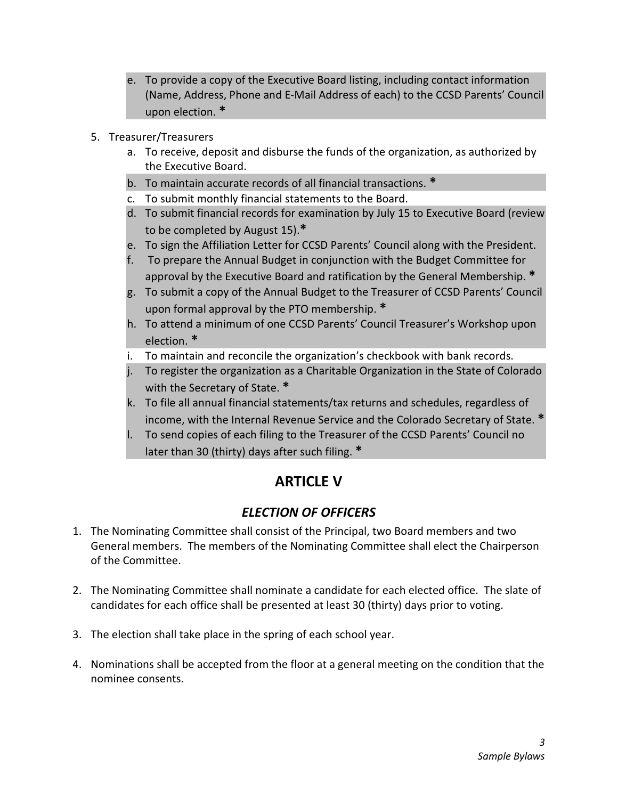- e. To provide a copy of the Executive Board listing, including contact information (Name, Address, Phone and E-Mail Address of each) to the CCSD Parents' Council upon election. \*
- 5. Treasurer/Treasurers
	- a. To receive, deposit and disburse the funds of the organization, as authorized by the Executive Board.
	- b. To maintain accurate records of all financial transactions. \*
	- c. To submit monthly financial statements to the Board.
	- d. To submit financial records for examination by July 15 to Executive Board (review to be completed by August 15).\*
	- e. To sign the Affiliation Letter for CCSD Parents' Council along with the President.
	- f. To prepare the Annual Budget in conjunction with the Budget Committee for approval by the Executive Board and ratification by the General Membership. \*
	- g. To submit a copy of the Annual Budget to the Treasurer of CCSD Parents' Council upon formal approval by the PTO membership. \*
	- h. To attend a minimum of one CCSD Parents' Council Treasurer's Workshop upon election. \*
	- i. To maintain and reconcile the organization's checkbook with bank records.
	- j. To register the organization as a Charitable Organization in the State of Colorado with the Secretary of State. \*
	- k. To file all annual financial statements/tax returns and schedules, regardless of income, with the Internal Revenue Service and the Colorado Secretary of State. \*
	- l. To send copies of each filing to the Treasurer of the CCSD Parents' Council no later than 30 (thirty) days after such filing. \*

# ARTICLE V

#### ELECTION OF OFFICERS

- 1. The Nominating Committee shall consist of the Principal, two Board members and two General members. The members of the Nominating Committee shall elect the Chairperson of the Committee.
- 2. The Nominating Committee shall nominate a candidate for each elected office. The slate of candidates for each office shall be presented at least 30 (thirty) days prior to voting.
- 3. The election shall take place in the spring of each school year.
- 4. Nominations shall be accepted from the floor at a general meeting on the condition that the nominee consents.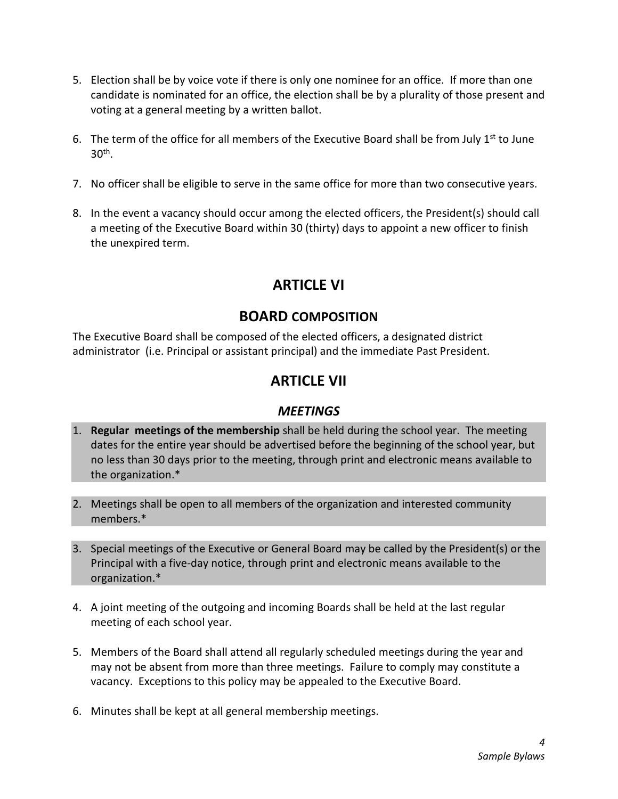- 5. Election shall be by voice vote if there is only one nominee for an office. If more than one candidate is nominated for an office, the election shall be by a plurality of those present and voting at a general meeting by a written ballot.
- 6. The term of the office for all members of the Executive Board shall be from July  $1<sup>st</sup>$  to June 30th .
- 7. No officer shall be eligible to serve in the same office for more than two consecutive years.
- 8. In the event a vacancy should occur among the elected officers, the President(s) should call a meeting of the Executive Board within 30 (thirty) days to appoint a new officer to finish the unexpired term.

# ARTICLE VI

### BOARD COMPOSITION

The Executive Board shall be composed of the elected officers, a designated district administrator (i.e. Principal or assistant principal) and the immediate Past President.

# ARTICLE VII

#### **MEETINGS**

- 1. Regular meetings of the membership shall be held during the school year. The meeting dates for the entire year should be advertised before the beginning of the school year, but no less than 30 days prior to the meeting, through print and electronic means available to the organization.\*
- 2. Meetings shall be open to all members of the organization and interested community members.\*
- 3. Special meetings of the Executive or General Board may be called by the President(s) or the Principal with a five-day notice, through print and electronic means available to the organization.\*
- 4. A joint meeting of the outgoing and incoming Boards shall be held at the last regular meeting of each school year.
- 5. Members of the Board shall attend all regularly scheduled meetings during the year and may not be absent from more than three meetings. Failure to comply may constitute a vacancy. Exceptions to this policy may be appealed to the Executive Board.
- 6. Minutes shall be kept at all general membership meetings.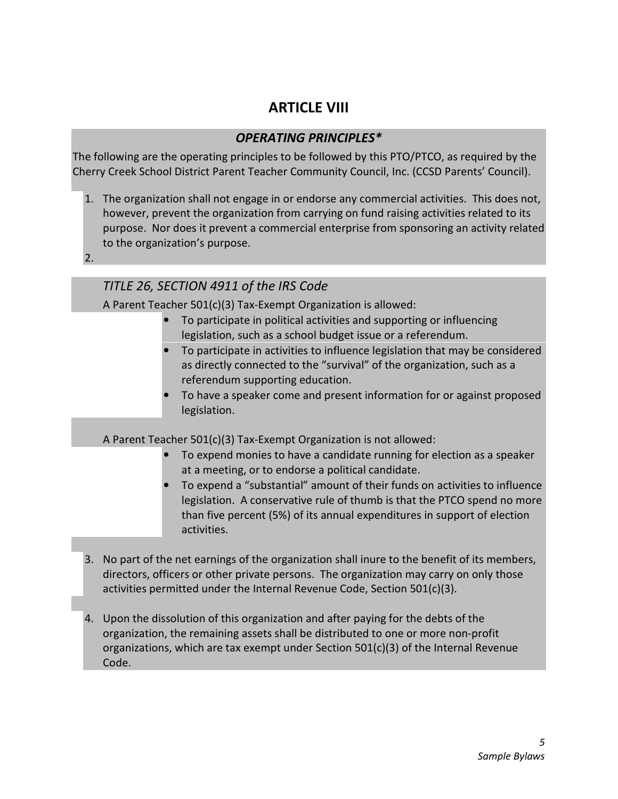### ARTICLE VIII

#### OPERATING PRINCIPLES\*

The following are the operating principles to be followed by this PTO/PTCO, as required by the Cherry Creek School District Parent Teacher Community Council, Inc. (CCSD Parents' Council).

- 1. The organization shall not engage in or endorse any commercial activities. This does not, however, prevent the organization from carrying on fund raising activities related to its purpose. Nor does it prevent a commercial enterprise from sponsoring an activity related to the organization's purpose.
- 2.

#### TITLE 26, SECTION 4911 of the IRS Code

A Parent Teacher 501(c)(3) Tax-Exempt Organization is allowed:

- To participate in political activities and supporting or influencing legislation, such as a school budget issue or a referendum.
- To participate in activities to influence legislation that may be considered as directly connected to the "survival" of the organization, such as a referendum supporting education.
- To have a speaker come and present information for or against proposed legislation.

A Parent Teacher 501(c)(3) Tax-Exempt Organization is not allowed:

- To expend monies to have a candidate running for election as a speaker at a meeting, or to endorse a political candidate.
- To expend a "substantial" amount of their funds on activities to influence legislation. A conservative rule of thumb is that the PTCO spend no more than five percent (5%) of its annual expenditures in support of election activities.
- 3. No part of the net earnings of the organization shall inure to the benefit of its members, directors, officers or other private persons. The organization may carry on only those activities permitted under the Internal Revenue Code, Section 501(c)(3).
- 4. Upon the dissolution of this organization and after paying for the debts of the organization, the remaining assets shall be distributed to one or more non-profit organizations, which are tax exempt under Section 501(c)(3) of the Internal Revenue Code.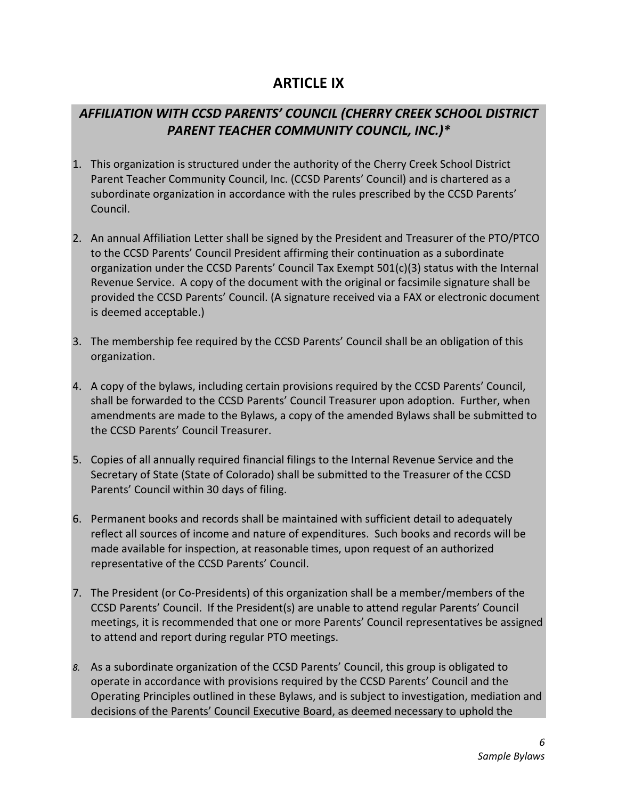### ARTICLE IX

### AFFILIATION WITH CCSD PARENTS' COUNCIL (CHERRY CREEK SCHOOL DISTRICT PARENT TEACHER COMMUNITY COUNCIL, INC.)\*

- 1. This organization is structured under the authority of the Cherry Creek School District Parent Teacher Community Council, Inc. (CCSD Parents' Council) and is chartered as a subordinate organization in accordance with the rules prescribed by the CCSD Parents' Council.
- 2. An annual Affiliation Letter shall be signed by the President and Treasurer of the PTO/PTCO to the CCSD Parents' Council President affirming their continuation as a subordinate organization under the CCSD Parents' Council Tax Exempt 501(c)(3) status with the Internal Revenue Service. A copy of the document with the original or facsimile signature shall be provided the CCSD Parents' Council. (A signature received via a FAX or electronic document is deemed acceptable.)
- 3. The membership fee required by the CCSD Parents' Council shall be an obligation of this organization.
- 4. A copy of the bylaws, including certain provisions required by the CCSD Parents' Council, shall be forwarded to the CCSD Parents' Council Treasurer upon adoption. Further, when amendments are made to the Bylaws, a copy of the amended Bylaws shall be submitted to the CCSD Parents' Council Treasurer.
- 5. Copies of all annually required financial filings to the Internal Revenue Service and the Secretary of State (State of Colorado) shall be submitted to the Treasurer of the CCSD Parents' Council within 30 days of filing.
- 6. Permanent books and records shall be maintained with sufficient detail to adequately reflect all sources of income and nature of expenditures. Such books and records will be made available for inspection, at reasonable times, upon request of an authorized representative of the CCSD Parents' Council.
- 7. The President (or Co-Presidents) of this organization shall be a member/members of the CCSD Parents' Council. If the President(s) are unable to attend regular Parents' Council meetings, it is recommended that one or more Parents' Council representatives be assigned to attend and report during regular PTO meetings.
- 8. As a subordinate organization of the CCSD Parents' Council, this group is obligated to operate in accordance with provisions required by the CCSD Parents' Council and the Operating Principles outlined in these Bylaws, and is subject to investigation, mediation and decisions of the Parents' Council Executive Board, as deemed necessary to uphold the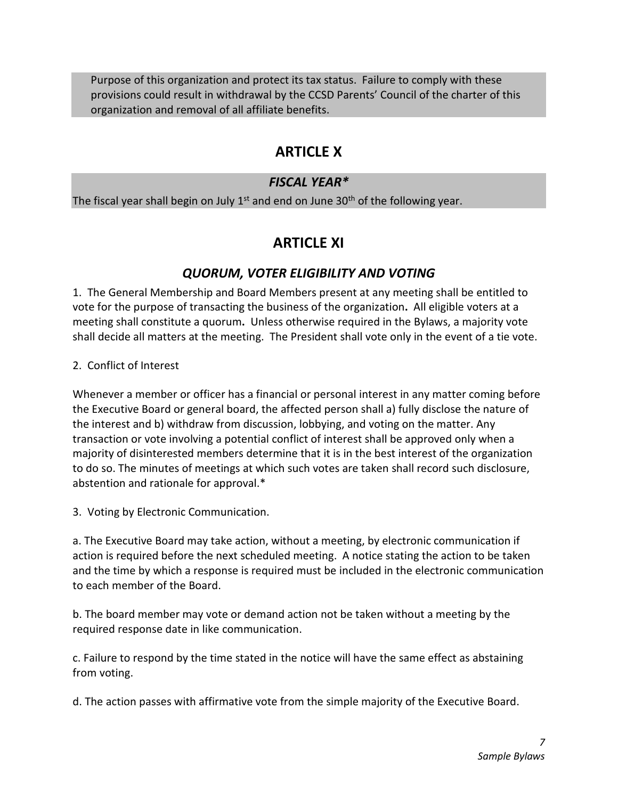Purpose of this organization and protect its tax status. Failure to comply with these provisions could result in withdrawal by the CCSD Parents' Council of the charter of this organization and removal of all affiliate benefits.

# ARTICLE X

#### FISCAL YEAR\*

The fiscal year shall begin on July  $1<sup>st</sup>$  and end on June 30<sup>th</sup> of the following year.

# ARTICLE XI

#### QUORUM, VOTER ELIGIBILITY AND VOTING

1. The General Membership and Board Members present at any meeting shall be entitled to vote for the purpose of transacting the business of the organization. All eligible voters at a meeting shall constitute a quorum. Unless otherwise required in the Bylaws, a majority vote shall decide all matters at the meeting. The President shall vote only in the event of a tie vote.

2. Conflict of Interest

Whenever a member or officer has a financial or personal interest in any matter coming before the Executive Board or general board, the affected person shall a) fully disclose the nature of the interest and b) withdraw from discussion, lobbying, and voting on the matter. Any transaction or vote involving a potential conflict of interest shall be approved only when a majority of disinterested members determine that it is in the best interest of the organization to do so. The minutes of meetings at which such votes are taken shall record such disclosure, abstention and rationale for approval.\*

3. Voting by Electronic Communication.

a. The Executive Board may take action, without a meeting, by electronic communication if action is required before the next scheduled meeting. A notice stating the action to be taken and the time by which a response is required must be included in the electronic communication to each member of the Board.

b. The board member may vote or demand action not be taken without a meeting by the required response date in like communication.

c. Failure to respond by the time stated in the notice will have the same effect as abstaining from voting.

d. The action passes with affirmative vote from the simple majority of the Executive Board.